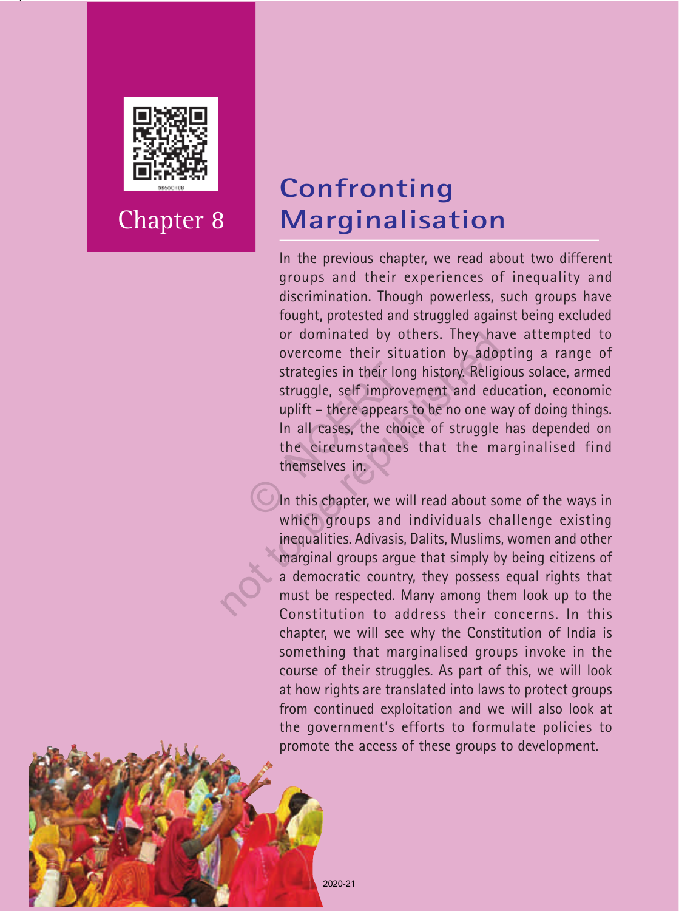

Chapter 8

# **Confronting Marginalisation**

In the previous chapter, we read about two different groups and their experiences of inequality and discrimination. Though powerless, such groups have fought, protested and struggled against being excluded or dominated by others. They have attempted to overcome their situation by adopting a range of strategies in their long history. Religious solace, armed struggle, self improvement and education, economic uplift – there appears to be no one way of doing things. In all cases, the choice of struggle has depended on the circumstances that the marginalised find themselves in. strategies in their long<br>struggle, self improve<br>uplift – there appears<br>In all cases, the choir<br>the circumstances<br>themselves in.<br>1. In this chapter, we wil or dominated by others. They ha<br>overcome their situation by ado<br>strategies in their long history. Relig<br>struggle, self improvement and edu<br>uplift – there appears to be no one w<br>In all cases, the choice of struggle<br>the circ

In this chapter, we will read about some of the ways in which groups and individuals challenge existing inequalities. Adivasis, Dalits, Muslims, women and other marginal groups argue that simply by being citizens of a democratic country, they possess equal rights that must be respected. Many among them look up to the Constitution to address their concerns. In this chapter, we will see why the Constitution of India is something that marginalised groups invoke in the course of their struggles. As part of this, we will look at how rights are translated into laws to protect groups from continued exploitation and we will also look at the government's efforts to formulate policies to promote the access of these groups to development.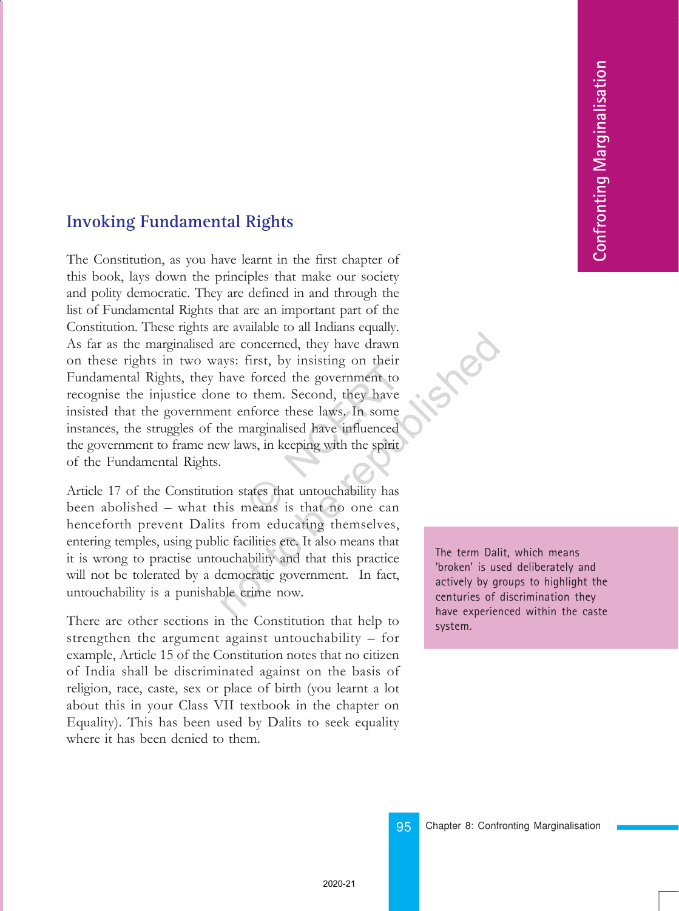### **Invoking Fundamental Rights**

The Constitution, as you have learnt in the first chapter of this book, lays down the principles that make our society and polity democratic. They are defined in and through the list of Fundamental Rights that are an important part of the Constitution. These rights are available to all Indians equally. As far as the marginalised are concerned, they have drawn on these rights in two ways: first, by insisting on their Fundamental Rights, they have forced the government to recognise the injustice done to them. Second, they have insisted that the government enforce these laws. In some instances, the struggles of the marginalised have influenced the government to frame new laws, in keeping with the spirit of the Fundamental Rights. the forced the government to<br>them. Second, they have<br>inforce these laws. In some<br>narginalised have influenced<br>ws, in keeping with the spirit<br>tates that untouchability has<br>neans is that no one can nate concerned, they have drawn<br>signs: first, by insisting on their<br>have forced the government to<br>ne to them. Second, they have<br>nt enforce these laws. In some<br>he marginalised have influenced<br>w laws, in keeping with the spi

Article 17 of the Constitution states that untouchability has been abolished – what this means is that no one can henceforth prevent Dalits from educating themselves, entering temples, using public facilities etc. It also means that it is wrong to practise untouchability and that this practice will not be tolerated by a democratic government. In fact, untouchability is a punishable crime now.

There are other sections in the Constitution that help to strengthen the argument against untouchability  $-$  for example, Article 15 of the Constitution notes that no citizen of India shall be discriminated against on the basis of religion, race, caste, sex or place of birth (you learnt a lot about this in your Class VII textbook in the chapter on Equality). This has been used by Dalits to seek equality where it has been denied to them.

The term Dalit, which means 'broken' is used deliberately and actively by groups to highlight the centuries of discrimination they have experienced within the caste system.

95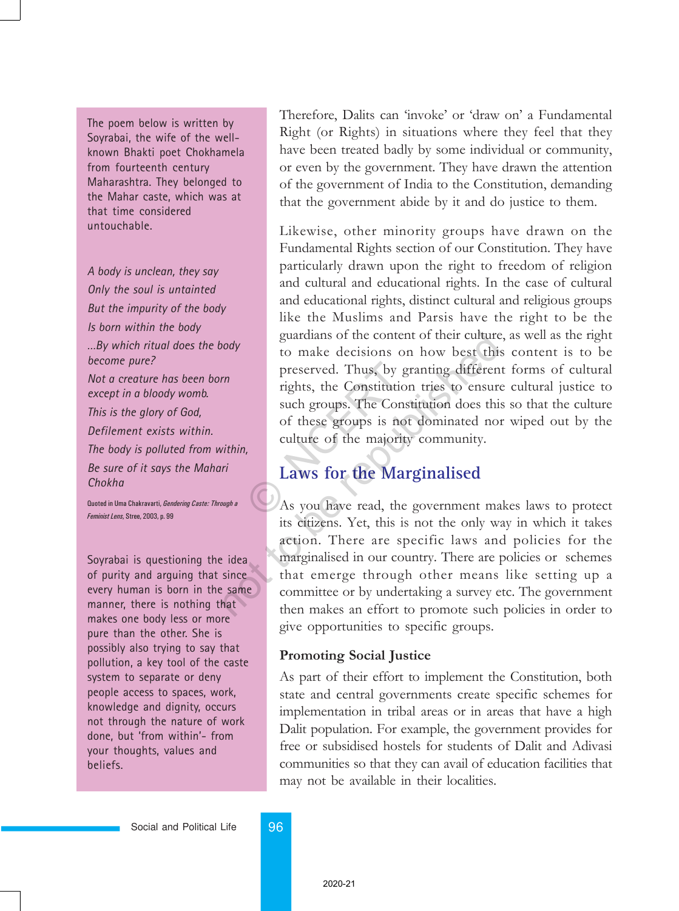The poem below is written by Soyrabai, the wife of the wellknown Bhakti poet Chokhamela from fourteenth century Maharashtra. They belonged to the Mahar caste, which was at that time considered untouchable.

*A body is unclean, they say Only the soul is untainted But the impurity of the body Is born within the body …By which ritual does the body become pure? Not a creature has been born except in a bloody womb. This is the glory of God, Defilement exists within. The body is polluted from within, Be sure of it says the Mahari Chokha*

Quoted in Uma Chakravarti, Gendering Caste: Through a Feminist Lens, Stree, 2003, p. 99

Soyrabai is questioning the idea of purity and arguing that since every human is born in the same manner, there is nothing that makes one body less or more pure than the other. She is possibly also trying to say that pollution, a key tool of the caste system to separate or deny people access to spaces, work, knowledge and dignity, occurs not through the nature of work done, but 'from within'- from your thoughts, values and beliefs.

Therefore, Dalits can 'invoke' or 'draw on' a Fundamental Right (or Rights) in situations where they feel that they have been treated badly by some individual or community, or even by the government. They have drawn the attention of the government of India to the Constitution, demanding that the government abide by it and do justice to them.

Likewise, other minority groups have drawn on the Fundamental Rights section of our Constitution. They have particularly drawn upon the right to freedom of religion and cultural and educational rights. In the case of cultural and educational rights, distinct cultural and religious groups like the Muslims and Parsis have the right to be the guardians of the content of their culture, as well as the right to make decisions on how best this content is to be preserved. Thus, by granting different forms of cultural rights, the Constitution tries to ensure cultural justice to such groups. The Constitution does this so that the culture of these groups is not dominated nor wiped out by the culture of the majority community. preserved. Thus, by gr<br>rights, the Constitution<br>such groups. The Const<br>of these groups is not<br>culture of the majority<br>**Laws for the Mar**<br>As you have read, the

### **Laws for the Marginalised**

As you have read, the government makes laws to protect its citizens. Yet, this is not the only way in which it takes action. There are specific laws and policies for the marginalised in our country. There are policies or schemes that emerge through other means like setting up a committee or by undertaking a survey etc. The government then makes an effort to promote such policies in order to give opportunities to specific groups. sort of the content of their culture<br>to make decisions on how best this<br>preserved. Thus, by granting differen<br>rights, the Constitution tries to ensure<br>such groups. The Constitution does this<br>of these groups is not dominate

#### Promoting Social Justice

As part of their effort to implement the Constitution, both state and central governments create specific schemes for implementation in tribal areas or in areas that have a high Dalit population. For example, the government provides for free or subsidised hostels for students of Dalit and Adivasi communities so that they can avail of education facilities that may not be available in their localities.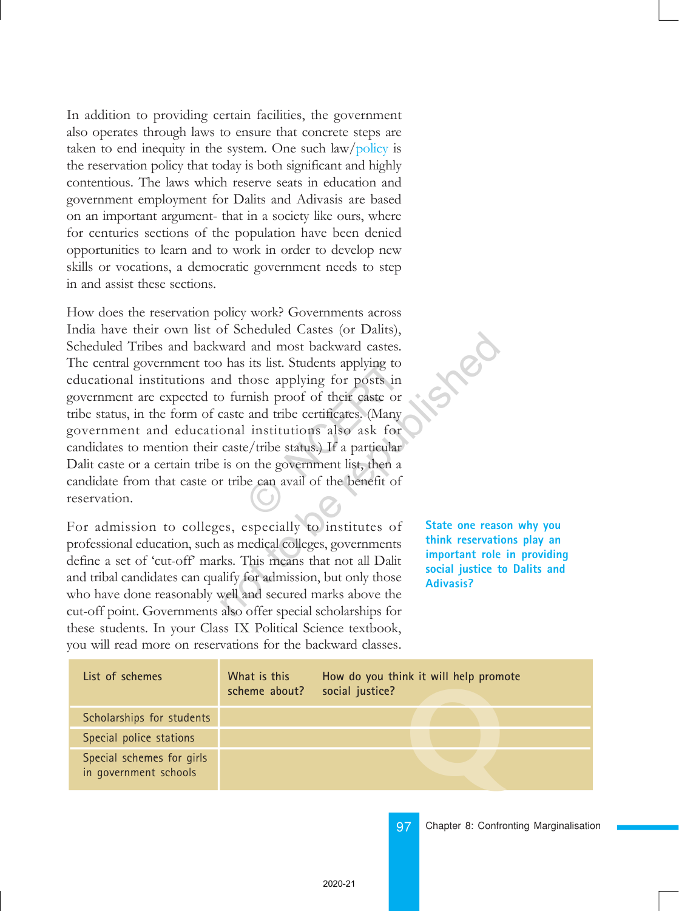In addition to providing certain facilities, the government also operates through laws to ensure that concrete steps are taken to end inequity in the system. One such  $\frac{law}{policy}$  is the reservation policy that today is both significant and highly contentious. The laws which reserve seats in education and government employment for Dalits and Adivasis are based on an important argument- that in a society like ours, where for centuries sections of the population have been denied opportunities to learn and to work in order to develop new skills or vocations, a democratic government needs to step in and assist these sections.

How does the reservation policy work? Governments across India have their own list of Scheduled Castes (or Dalits), Scheduled Tribes and backward and most backward castes. The central government too has its list. Students applying to educational institutions and those applying for posts in government are expected to furnish proof of their caste or tribe status, in the form of caste and tribe certificates. (Many government and educational institutions also ask for candidates to mention their caste/tribe status.) If a particular Dalit caste or a certain tribe is on the government list, then a candidate from that caste or tribe can avail of the benefit of reservation. Its list. Students applying to<br>hose applying for posts in<br>mish proof of their caste or<br>and tribe certificates. (Many<br>institutions also ask for<br>e/tribe status.) If a particular<br>in the government list, then a<br>be can avail of not be related versits (of Dants),<br>
ward and most backward castes.<br>
has its list. Students applying to<br>
nd those applying for posts in<br>
p furnish proof of their caste or<br>
caste and tribe certificates. (Many<br>
onal instituti

For admission to colleges, especially to institutes of professional education, such as medical colleges, governments define a set of 'cut-off' marks. This means that not all Dalit and tribal candidates can qualify for admission, but only those who have done reasonably well and secured marks above the cut-off point. Governments also offer special scholarships for these students. In your Class IX Political Science textbook, you will read more on reservations for the backward classes.

**State one reason why you think reservations play an important role in providing social justice to Dalits and Adivasis?**

| List of schemes                                    | What is this<br>scheme about? | How do you think it will help promote<br>social justice? |
|----------------------------------------------------|-------------------------------|----------------------------------------------------------|
| Scholarships for students                          |                               |                                                          |
| Special police stations                            |                               |                                                          |
| Special schemes for girls<br>in government schools |                               |                                                          |

97 Chapter 8: Confronting Marginalisation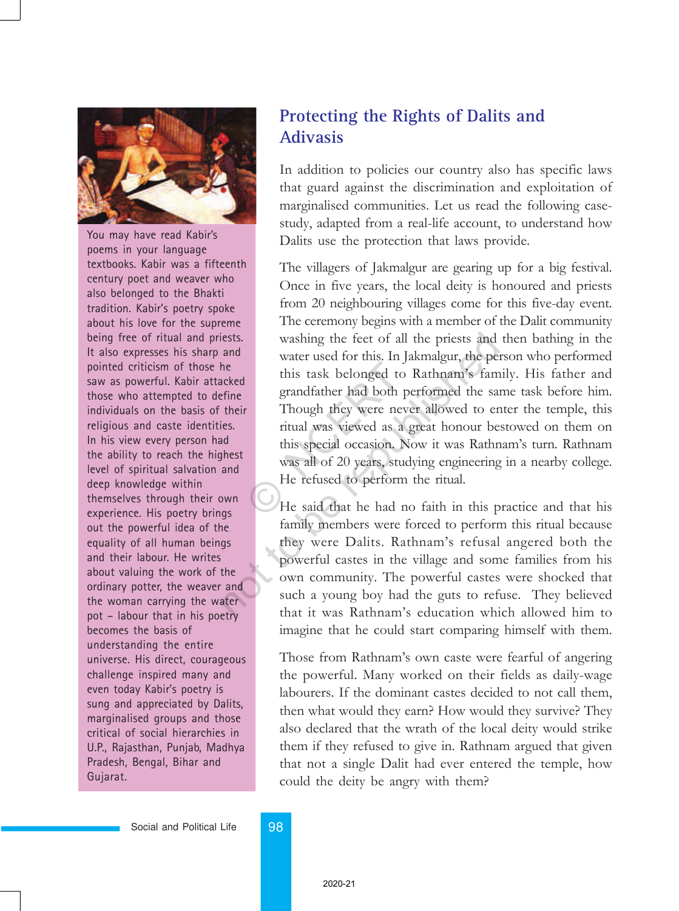

You may have read Kabir's poems in your language textbooks. Kabir was a fifteenth century poet and weaver who also belonged to the Bhakti tradition. Kabir's poetry spoke about his love for the supreme being free of ritual and priests. It also expresses his sharp and pointed criticism of those he saw as powerful. Kabir attacked those who attempted to define individuals on the basis of their religious and caste identities. In his view every person had the ability to reach the highest level of spiritual salvation and deep knowledge within themselves through their own experience. His poetry brings out the powerful idea of the equality of all human beings and their labour. He writes about valuing the work of the ordinary potter, the weaver and the woman carrying the water pot – labour that in his poetry becomes the basis of understanding the entire universe. His direct, courageous challenge inspired many and even today Kabir's poetry is sung and appreciated by Dalits, marginalised groups and those critical of social hierarchies in U.P., Rajasthan, Punjab, Madhya Pradesh, Bengal, Bihar and Gujarat.

## **Protecting the Rights of Dalits and Adivasis**

In addition to policies our country also has specific laws that guard against the discrimination and exploitation of marginalised communities. Let us read the following casestudy, adapted from a real-life account, to understand how Dalits use the protection that laws provide.

The villagers of Jakmalgur are gearing up for a big festival. Once in five years, the local deity is honoured and priests from 20 neighbouring villages come for this five-day event. The ceremony begins with a member of the Dalit community washing the feet of all the priests and then bathing in the water used for this. In Jakmalgur, the person who performed this task belonged to Rathnam's family. His father and grandfather had both performed the same task before him. Though they were never allowed to enter the temple, this ritual was viewed as a great honour bestowed on them on this special occasion. Now it was Rathnam's turn. Rathnam was all of 20 years, studying engineering in a nearby college. He refused to perform the ritual. this task belonged to<br>grandfather had both pe<br>Though they were never<br>ritual was viewed as a g<br>this special occasion. No<br>was all of 20 years, stud<br>He refused to perform<br>He said that he had no increases.<br>
washing the feet of all the priests and<br>
and<br>
water used for this. In Jakmalgur, the per<br>
erhist task belonged to Rathnam's fam<br>
grandfather had both performed the sai<br>
their<br>
Though they were never allowed to

He said that he had no faith in this practice and that his family members were forced to perform this ritual because they were Dalits. Rathnam's refusal angered both the powerful castes in the village and some families from his own community. The powerful castes were shocked that such a young boy had the guts to refuse. They believed that it was Rathnamís education which allowed him to imagine that he could start comparing himself with them.

Those from Rathnam's own caste were fearful of angering the powerful. Many worked on their fields as daily-wage labourers. If the dominant castes decided to not call them, then what would they earn? How would they survive? They also declared that the wrath of the local deity would strike them if they refused to give in. Rathnam argued that given that not a single Dalit had ever entered the temple, how could the deity be angry with them?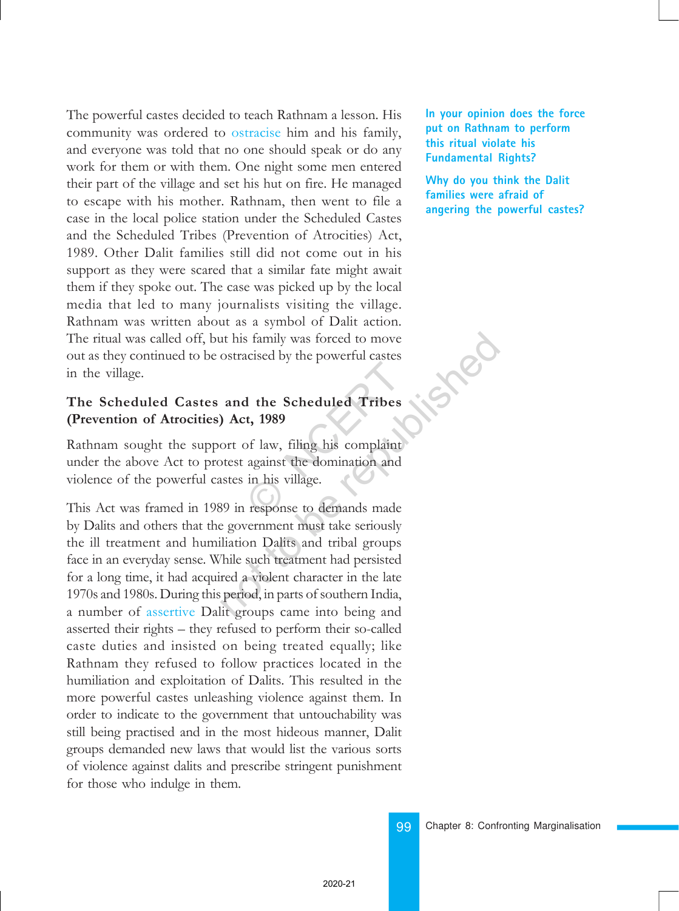The powerful castes decided to teach Rathnam a lesson. His community was ordered to ostracise him and his family, and everyone was told that no one should speak or do any work for them or with them. One night some men entered their part of the village and set his hut on fire. He managed to escape with his mother. Rathnam, then went to file a case in the local police station under the Scheduled Castes and the Scheduled Tribes (Prevention of Atrocities) Act, 1989. Other Dalit families still did not come out in his support as they were scared that a similar fate might await them if they spoke out. The case was picked up by the local media that led to many journalists visiting the village. Rathnam was written about as a symbol of Dalit action. The ritual was called off, but his family was forced to move out as they continued to be ostracised by the powerful castes in the village.

#### The Scheduled Castes and the Scheduled Tribes (Prevention of Atrocities) Act, 1989

Rathnam sought the support of law, filing his complaint under the above Act to protest against the domination and violence of the powerful castes in his village. 1 the Scheduled Tribes<br>t, 1989<br>of law, filing his complaint<br>against the domination and<br>in his village.<br>response to demands made

This Act was framed in 1989 in response to demands made by Dalits and others that the government must take seriously the ill treatment and humiliation Dalits and tribal groups face in an everyday sense. While such treatment had persisted for a long time, it had acquired a violent character in the late 1970s and 1980s. During this period, in parts of southern India, a number of assertive Dalit groups came into being and asserted their rights – they refused to perform their so-called caste duties and insisted on being treated equally; like Rathnam they refused to follow practices located in the humiliation and exploitation of Dalits. This resulted in the more powerful castes unleashing violence against them. In order to indicate to the government that untouchability was still being practised and in the most hideous manner, Dalit groups demanded new laws that would list the various sorts of violence against dalits and prescribe stringent punishment for those who indulge in them. It his family was forced to move<br>
ostracised by the powerful castes<br> **and the Scheduled Tribes**<br> **and the Scheduled Tribes**<br> **and the Scheduled Tribes**<br> **and the Scheduled Tribes**<br>
of the strate of the strategy<br>
of the dom

**In your opinion does the force put on Rathnam to perform this ritual violate his Fundamental Rights?**

**Why do you think the Dalit families were afraid of angering the powerful castes?**

99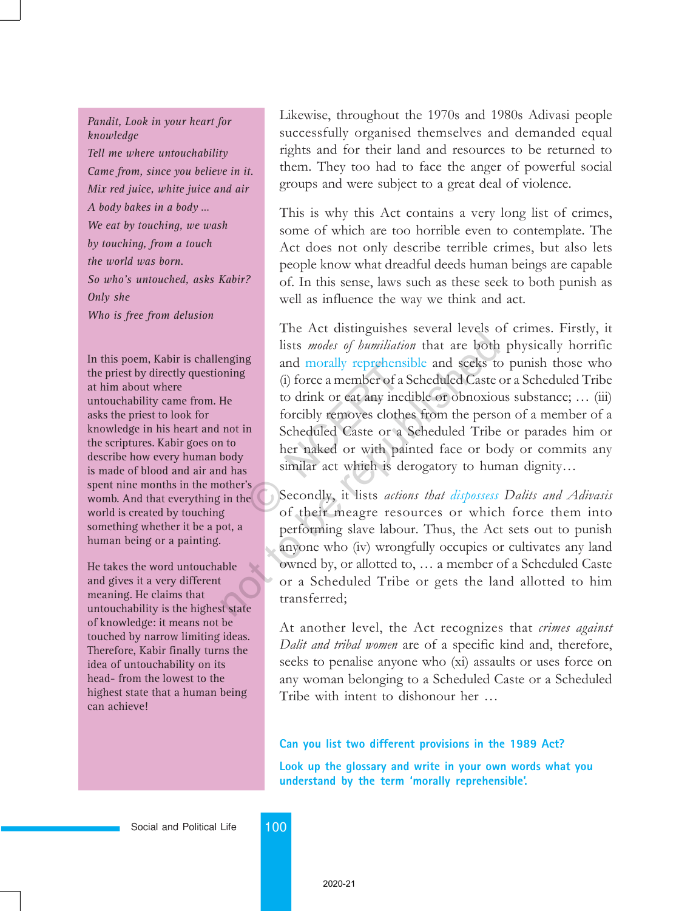#### *Pandit, Look in your heart for knowledge*

*Tell me where untouchability Came from, since you believe in it. Mix red juice, white juice and air A body bakes in a body … We eat by touching, we wash by touching, from a touch the world was born. So who's untouched, asks Kabir? Only she Who is free from delusion*

In this poem, Kabir is challenging the priest by directly questioning at him about where untouchability came from. He asks the priest to look for knowledge in his heart and not in the scriptures. Kabir goes on to describe how every human body is made of blood and air and has spent nine months in the mother's womb. And that everything in the world is created by touching something whether it be a pot, a human being or a painting.

He takes the word untouchable and gives it a very different meaning. He claims that untouchability is the highest state of knowledge: it means not be touched by narrow limiting ideas. Therefore, Kabir finally turns the idea of untouchability on its head- from the lowest to the highest state that a human being can achieve!

Likewise, throughout the 1970s and 1980s Adivasi people successfully organised themselves and demanded equal rights and for their land and resources to be returned to them. They too had to face the anger of powerful social groups and were subject to a great deal of violence.

This is why this Act contains a very long list of crimes, some of which are too horrible even to contemplate. The Act does not only describe terrible crimes, but also lets people know what dreadful deeds human beings are capable of. In this sense, laws such as these seek to both punish as well as influence the way we think and act.

The Act distinguishes several levels of crimes. Firstly, it lists modes of humiliation that are both physically horrific and morally reprehensible and seeks to punish those who (i) force a member of a Scheduled Caste or a Scheduled Tribe to drink or eat any inedible or obnoxious substance;  $\ldots$  (iii) forcibly removes clothes from the person of a member of a Scheduled Caste or a Scheduled Tribe or parades him or her naked or with painted face or body or commits any similar act which is derogatory to human dignity... and morally reprenens<br>
(i) force a member of a S<br>
to drink or eat any inedi<br>
forcibly removes clothes<br>
Scheduled Caste or a S<br>
her naked or with pair<br>
similar act which is der<br>
e<br>
Secondly, it lists *action*<br>
of their meag The First changements of certain terms of lists *modes of humiliation* that are both and morally reprehensible and seeks to (i) force a member of a Scheduled Caste to drink or eat any inedible or obnoxious forcibly removes

Secondly, it lists actions that dispossess Dalits and Adivasis of their meagre resources or which force them into performing slave labour. Thus, the Act sets out to punish anyone who (iv) wrongfully occupies or cultivates any land owned by, or allotted to, ... a member of a Scheduled Caste or a Scheduled Tribe or gets the land allotted to him transferred;

At another level, the Act recognizes that *crimes against* Dalit and tribal women are of a specific kind and, therefore, seeks to penalise anyone who (xi) assaults or uses force on any woman belonging to a Scheduled Caste or a Scheduled Tribe with intent to dishonour her ...

#### **Can you list two different provisions in the 1989 Act?**

**Look up the glossary and write in your own words what you understand by the term 'morally reprehensible'.**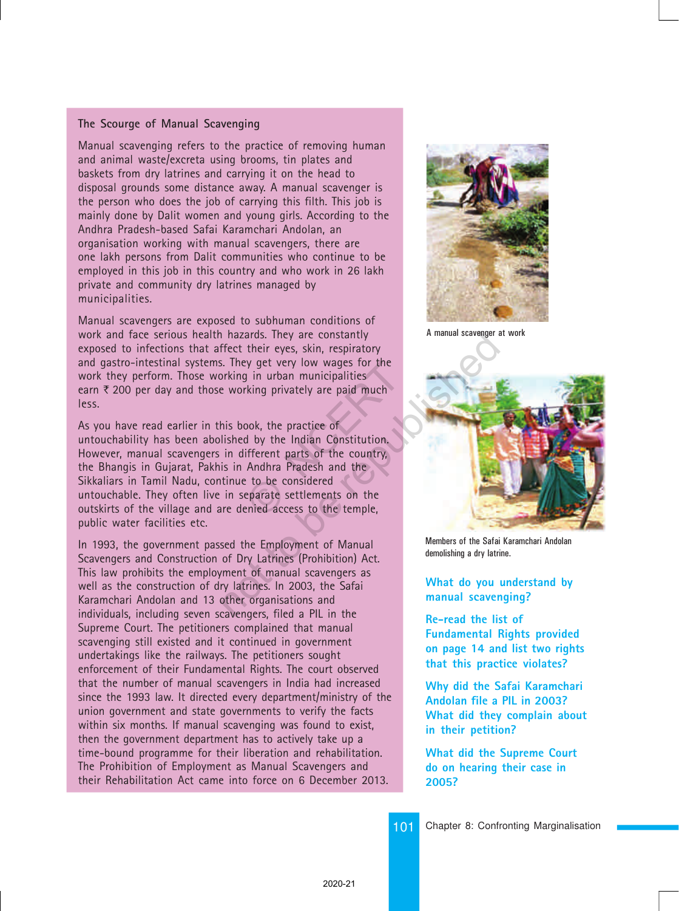#### **The Scourge of Manual Scavenging**

Manual scavenging refers to the practice of removing human and animal waste/excreta using brooms, tin plates and baskets from dry latrines and carrying it on the head to disposal grounds some distance away. A manual scavenger is the person who does the job of carrying this filth. This job is mainly done by Dalit women and young girls. According to the Andhra Pradesh-based Safai Karamchari Andolan, an organisation working with manual scavengers, there are one lakh persons from Dalit communities who continue to be employed in this job in this country and who work in 26 lakh private and community dry latrines managed by municipalities.

Manual scavengers are exposed to subhuman conditions of work and face serious health hazards. They are constantly exposed to infections that affect their eyes, skin, respiratory and gastro-intestinal systems. They get very low wages for the work they perform. Those working in urban municipalities earn  $\bar{\tau}$  200 per day and those working privately are paid much less.

As you have read earlier in this book, the practice of untouchability has been abolished by the Indian Constitution. However, manual scavengers in different parts of the country, the Bhangis in Gujarat, Pakhis in Andhra Pradesh and the Sikkaliars in Tamil Nadu, continue to be considered untouchable. They often live in separate settlements on the outskirts of the village and are denied access to the temple, public water facilities etc. by get very low wages for the<br>g in urban municipalities<br>change privately are paid much<br>cook, the practice of<br>d by the Indian Constitution.<br>ifferent parts of the country,<br>Andhra Pradesh and the<br>et to be considered<br>eparate s not a manual scavenger<br>
Frect their eyes, skin, respiratory<br>
Iffect their eyes, skin, respiratory<br>
Iffect their eyes, skin, respiratory<br>
In the obvious of the country,<br>
his book, the practice of<br>
lished by the Indian Const

In 1993, the government passed the Employment of Manual Scavengers and Construction of Dry Latrines (Prohibition) Act. This law prohibits the employment of manual scavengers as well as the construction of dry latrines. In 2003, the Safai Karamchari Andolan and 13 other organisations and individuals, including seven scavengers, filed a PIL in the Supreme Court. The petitioners complained that manual scavenging still existed and it continued in government undertakings like the railways. The petitioners sought enforcement of their Fundamental Rights. The court observed that the number of manual scavengers in India had increased since the 1993 law. It directed every department/ministry of the union government and state governments to verify the facts within six months. If manual scavenging was found to exist, then the government department has to actively take up a time-bound programme for their liberation and rehabilitation. The Prohibition of Employment as Manual Scavengers and their Rehabilitation Act came into force on 6 December 2013.



A manual scavenger at work



Members of the Safai Karamchari Andolan demolishing a dry latrine.

#### **What do you understand by manual scavenging?**

**Re-read the list of Fundamental Rights provided on page 14 and list two rights that this practice violates?**

**Why did the Safai Karamchari Andolan file a PIL in 2003? What did they complain about in their petition?**

**What did the Supreme Court do on hearing their case in 2005?**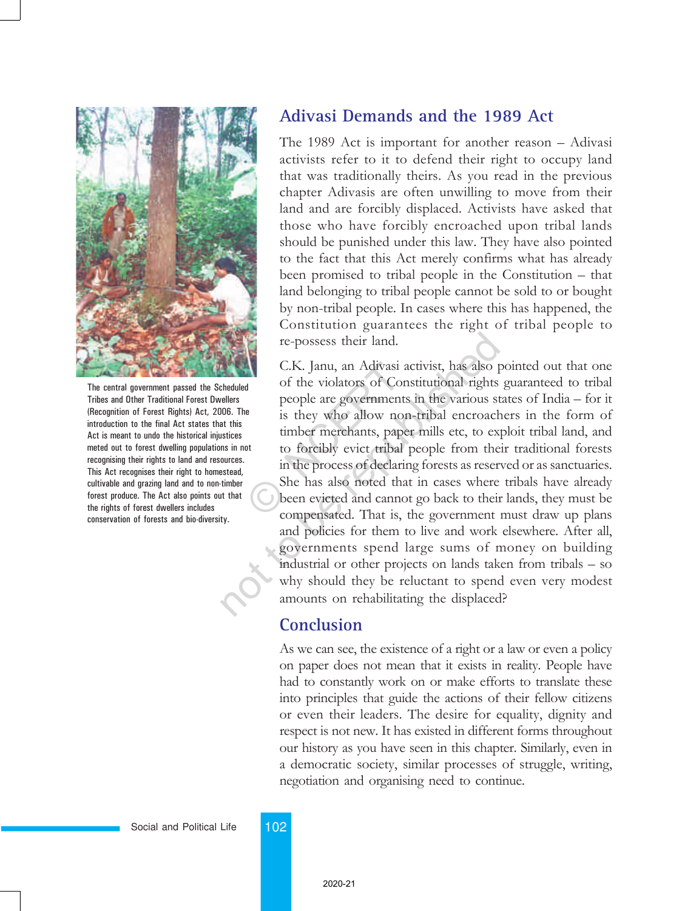

The central government passed the Scheduled Tribes and Other Traditional Forest Dwellers (Recognition of Forest Rights) Act, 2006. The introduction to the final Act states that this Act is meant to undo the historical injustices meted out to forest dwelling populations in not recognising their rights to land and resources. This Act recognises their right to homestead, cultivable and grazing land and to non-timber forest produce. The Act also points out that the rights of forest dwellers includes conservation of forests and bio-diversity.

# **Adivasi Demands and the 1989 Act**

The 1989 Act is important for another reason  $-$  Adivasi activists refer to it to defend their right to occupy land that was traditionally theirs. As you read in the previous chapter Adivasis are often unwilling to move from their land and are forcibly displaced. Activists have asked that those who have forcibly encroached upon tribal lands should be punished under this law. They have also pointed to the fact that this Act merely confirms what has already been promised to tribal people in the Constitution  $-$  that land belonging to tribal people cannot be sold to or bought by non-tribal people. In cases where this has happened, the Constitution guarantees the right of tribal people to re-possess their land.

C.K. Janu, an Adivasi activist, has also pointed out that one of the violators of Constitutional rights guaranteed to tribal people are governments in the various states of  $India - for it$ is they who allow non-tribal encroachers in the form of timber merchants, paper mills etc, to exploit tribal land, and to forcibly evict tribal people from their traditional forests in the process of declaring forests as reserved or as sanctuaries. She has also noted that in cases where tribals have already been evicted and cannot go back to their lands, they must be compensated. That is, the government must draw up plans and policies for them to live and work elsewhere. After all, governments spend large sums of money on building industrial or other projects on lands taken from tribals  $-$  so why should they be reluctant to spend even very modest amounts on rehabilitating the displaced? C.K. Janu, an Adivasi according to the violators of Consequence is they who allow non timber merchants, paper to forcibly evict tribal point in the process of declaring She has also noted that been evicted and cannot compe re-possess their land.<br>
C.K. Janu, an Adivasi activist, has also p<br>
of the violators of Constitutional rights<br>
pellers<br>
people are governments in the various st<br>
at this<br>
stitus is they who allow non-tribal encroach<br>
timbe

# **Conclusion**

As we can see, the existence of a right or a law or even a policy on paper does not mean that it exists in reality. People have had to constantly work on or make efforts to translate these into principles that guide the actions of their fellow citizens or even their leaders. The desire for equality, dignity and respect is not new. It has existed in different forms throughout our history as you have seen in this chapter. Similarly, even in a democratic society, similar processes of struggle, writing, negotiation and organising need to continue.